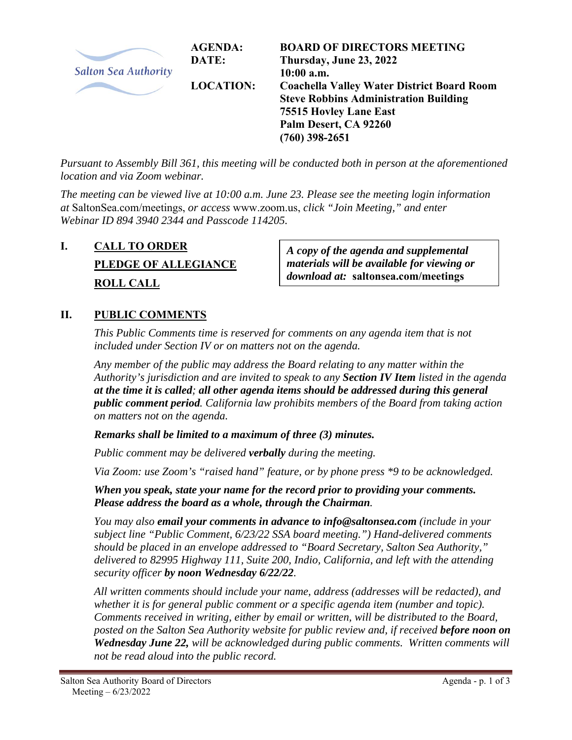

*Pursuant to Assembly Bill 361, this meeting will be conducted both in person at the aforementioned location and via Zoom webinar.* 

*The meeting can be viewed live at 10:00 a.m. June 23. Please see the meeting login information at* SaltonSea.com/meetings, *or access* www.zoom.us, *click "Join Meeting," and enter Webinar ID 894 3940 2344 and Passcode 114205.* 

# **I. CALL TO ORDER PLEDGE OF ALLEGIANCE ROLL CALL**

*A copy of the agenda and supplemental materials will be available for viewing or download at:* **saltonsea.com/meetings**

# **II. PUBLIC COMMENTS**

*This Public Comments time is reserved for comments on any agenda item that is not included under Section IV or on matters not on the agenda.* 

*Any member of the public may address the Board relating to any matter within the Authority's jurisdiction and are invited to speak to any Section IV Item listed in the agenda at the time it is called; all other agenda items should be addressed during this general public comment period. California law prohibits members of the Board from taking action on matters not on the agenda.* 

*Remarks shall be limited to a maximum of three (3) minutes.* 

*Public comment may be delivered verbally during the meeting.* 

*Via Zoom: use Zoom's "raised hand" feature, or by phone press \*9 to be acknowledged.* 

*When you speak, state your name for the record prior to providing your comments. Please address the board as a whole, through the Chairman.* 

*You may also email your comments in advance to info@saltonsea.com (include in your subject line "Public Comment, 6/23/22 SSA board meeting.") Hand-delivered comments should be placed in an envelope addressed to "Board Secretary, Salton Sea Authority," delivered to 82995 Highway 111, Suite 200, Indio, California, and left with the attending security officer by noon Wednesday 6/22/22.* 

*All written comments should include your name, address (addresses will be redacted), and whether it is for general public comment or a specific agenda item (number and topic). Comments received in writing, either by email or written, will be distributed to the Board, posted on the Salton Sea Authority website for public review and, if received before noon on Wednesday June 22, will be acknowledged during public comments. Written comments will not be read aloud into the public record.*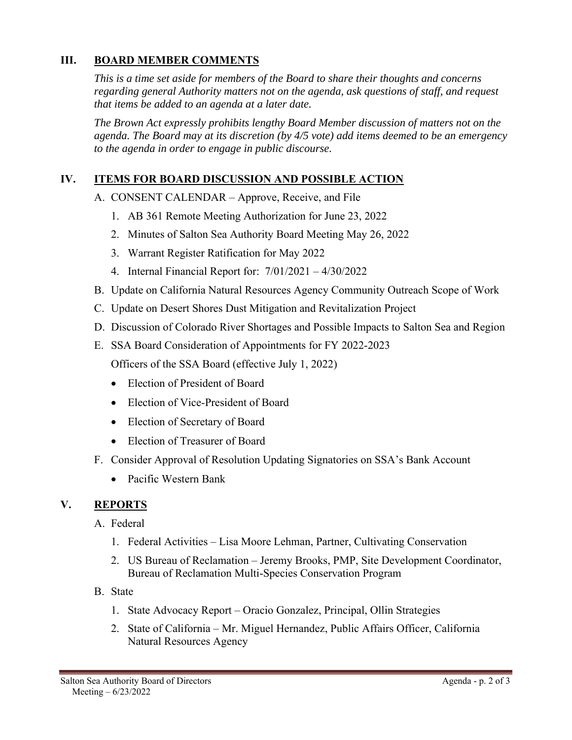## **III. BOARD MEMBER COMMENTS**

*This is a time set aside for members of the Board to share their thoughts and concerns regarding general Authority matters not on the agenda, ask questions of staff, and request that items be added to an agenda at a later date.* 

*The Brown Act expressly prohibits lengthy Board Member discussion of matters not on the agenda. The Board may at its discretion (by 4/5 vote) add items deemed to be an emergency to the agenda in order to engage in public discourse.* 

## **IV. ITEMS FOR BOARD DISCUSSION AND POSSIBLE ACTION**

A. CONSENT CALENDAR – Approve, Receive, and File

- 1. AB 361 Remote Meeting Authorization for June 23, 2022
- 2. Minutes of Salton Sea Authority Board Meeting May 26, 2022
- 3. Warrant Register Ratification for May 2022
- 4. Internal Financial Report for: 7/01/2021 4/30/2022
- B. Update on California Natural Resources Agency Community Outreach Scope of Work
- C. Update on Desert Shores Dust Mitigation and Revitalization Project
- D. Discussion of Colorado River Shortages and Possible Impacts to Salton Sea and Region
- E. SSA Board Consideration of Appointments for FY 2022-2023

Officers of the SSA Board (effective July 1, 2022)

- Election of President of Board
- Election of Vice-President of Board
- Election of Secretary of Board
- Election of Treasurer of Board
- F. Consider Approval of Resolution Updating Signatories on SSA's Bank Account
	- Pacific Western Bank

#### **V. REPORTS**

A. Federal

- 1. Federal Activities Lisa Moore Lehman, Partner, Cultivating Conservation
- 2. US Bureau of Reclamation Jeremy Brooks, PMP, Site Development Coordinator, Bureau of Reclamation Multi-Species Conservation Program
- B. State
	- 1. State Advocacy Report Oracio Gonzalez, Principal, Ollin Strategies
	- 2. State of California Mr. Miguel Hernandez, Public Affairs Officer, California Natural Resources Agency